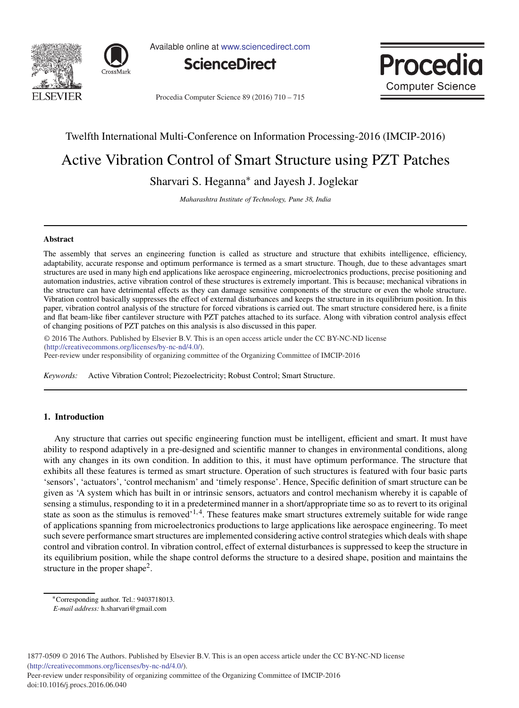



Available online at www.sciencedirect.com





Procedia Computer Science 89 (2016) 710 - 715

# Twelfth International Multi-Conference on Information Processing-2016 (IMCIP-2016)

# Active Vibration Control of Smart Structure using PZT Patches

Sharvari S. Heganna<sup>∗</sup> and Jayesh J. Joglekar

*Maharashtra Institute of Technology, Pune 38, India*

## **Abstract**

The assembly that serves an engineering function is called as structure and structure that exhibits intelligence, efficiency, adaptability, accurate response and optimum performance is termed as a smart structure. Though, due to these advantages smart structures are used in many high end applications like aerospace engineering, microelectronics productions, precise positioning and automation industries, active vibration control of these structures is extremely important. This is because; mechanical vibrations in the structure can have detrimental effects as they can damage sensitive components of the structure or even the whole structure. Vibration control basically suppresses the effect of external disturbances and keeps the structure in its equilibrium position. In this paper, vibration control analysis of the structure for forced vibrations is carried out. The smart structure considered here, is a finite and flat beam-like fiber cantilever structure with PZT patches attached to its surface. Along with vibration control analysis effect of changing positions of PZT patches on this analysis is also discussed in this paper.

© 2016 The Authors. Published by Elsevier B.V. © 2016 The Authors. Published by Elsevier B.V. This is an open access article under the CC BY-NC-ND license Peer-review under responsibility of organizing committee of the Twelfth International Multi-Conference on Information (http://creativecommons.org/licenses/by-nc-nd/4.0/).

Peer-review under responsibility of organizing committee of the Organizing Committee of IMCIP-2016

*Keywords:* Active Vibration Control; Piezoelectricity; Robust Control; Smart Structure.

# **1. Introduction**

Any structure that carries out specific engineering function must be intelligent, efficient and smart. It must have ability to respond adaptively in a pre-designed and scientific manner to changes in environmental conditions, along with any changes in its own condition. In addition to this, it must have optimum performance. The structure that exhibits all these features is termed as smart structure. Operation of such structures is featured with four basic parts 'sensors', 'actuators', 'control mechanism' and 'timely response'. Hence, Specific definition of smart structure can be given as 'A system which has built in or intrinsic sensors, actuators and control mechanism whereby it is capable of sensing a stimulus, responding to it in a predetermined manner in a short/appropriate time so as to revert to its original state as soon as the stimulus is removed<sup> $1,4$ </sup>. These features make smart structures extremely suitable for wide range of applications spanning from microelectronics productions to large applications like aerospace engineering. To meet such severe performance smart structures are implemented considering active control strategies which deals with shape control and vibration control. In vibration control, effect of external disturbances is suppressed to keep the structure in its equilibrium position, while the shape control deforms the structure to a desired shape, position and maintains the structure in the proper shape<sup>2</sup>.

1877-0509 © 2016 The Authors. Published by Elsevier B.V. This is an open access article under the CC BY-NC-ND license (http://creativecommons.org/licenses/by-nc-nd/4.0/).

Peer-review under responsibility of organizing committee of the Organizing Committee of IMCIP-2016 doi: 10.1016/j.procs.2016.06.040

<sup>∗</sup>Corresponding author. Tel.: 9403718013.

*E-mail address:* h.sharvari@gmail.com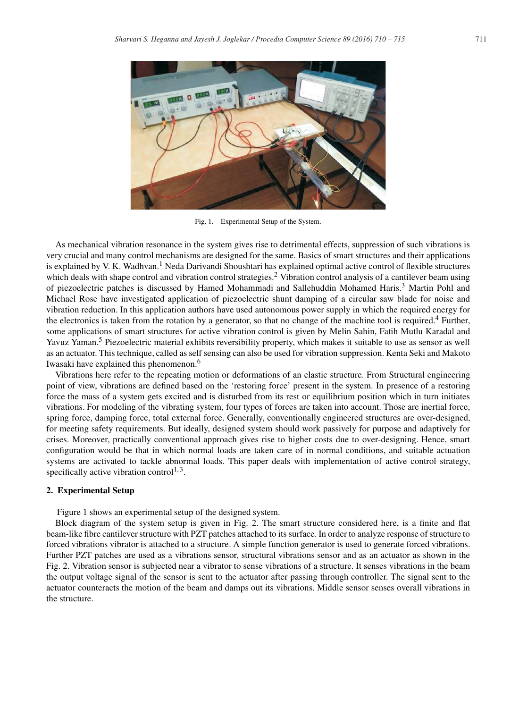

Fig. 1. Experimental Setup of the System.

As mechanical vibration resonance in the system gives rise to detrimental effects, suppression of such vibrations is very crucial and many control mechanisms are designed for the same. Basics of smart structures and their applications is explained by V. K. Wadhvan.<sup>1</sup> Neda Darivandi Shoushtari has explained optimal active control of flexible structures which deals with shape control and vibration control strategies.<sup>2</sup> Vibration control analysis of a cantilever beam using of piezoelectric patches is discussed by Hamed Mohammadi and Sallehuddin Mohamed Haris.<sup>3</sup> Martin Pohl and Michael Rose have investigated application of piezoelectric shunt damping of a circular saw blade for noise and vibration reduction. In this application authors have used autonomous power supply in which the required energy for the electronics is taken from the rotation by a generator, so that no change of the machine tool is required.<sup>4</sup> Further, some applications of smart structures for active vibration control is given by Melin Sahin, Fatih Mutlu Karadal and Yavuz Yaman.<sup>5</sup> Piezoelectric material exhibits reversibility property, which makes it suitable to use as sensor as well as an actuator. This technique, called as self sensing can also be used for vibration suppression. Kenta Seki and Makoto Iwasaki have explained this phenomenon.<sup>6</sup>

Vibrations here refer to the repeating motion or deformations of an elastic structure. From Structural engineering point of view, vibrations are defined based on the 'restoring force' present in the system. In presence of a restoring force the mass of a system gets excited and is disturbed from its rest or equilibrium position which in turn initiates vibrations. For modeling of the vibrating system, four types of forces are taken into account. Those are inertial force, spring force, damping force, total external force. Generally, conventionally engineered structures are over-designed, for meeting safety requirements. But ideally, designed system should work passively for purpose and adaptively for crises. Moreover, practically conventional approach gives rise to higher costs due to over-designing. Hence, smart configuration would be that in which normal loads are taken care of in normal conditions, and suitable actuation systems are activated to tackle abnormal loads. This paper deals with implementation of active control strategy, specifically active vibration control<sup>1,3</sup>.

#### **2. Experimental Setup**

Figure 1 shows an experimental setup of the designed system.

Block diagram of the system setup is given in Fig. 2. The smart structure considered here, is a finite and flat beam-like fibre cantilever structure with PZT patches attached to its surface. In order to analyze response of structure to forced vibrations vibrator is attached to a structure. A simple function generator is used to generate forced vibrations. Further PZT patches are used as a vibrations sensor, structural vibrations sensor and as an actuator as shown in the Fig. 2. Vibration sensor is subjected near a vibrator to sense vibrations of a structure. It senses vibrations in the beam the output voltage signal of the sensor is sent to the actuator after passing through controller. The signal sent to the actuator counteracts the motion of the beam and damps out its vibrations. Middle sensor senses overall vibrations in the structure.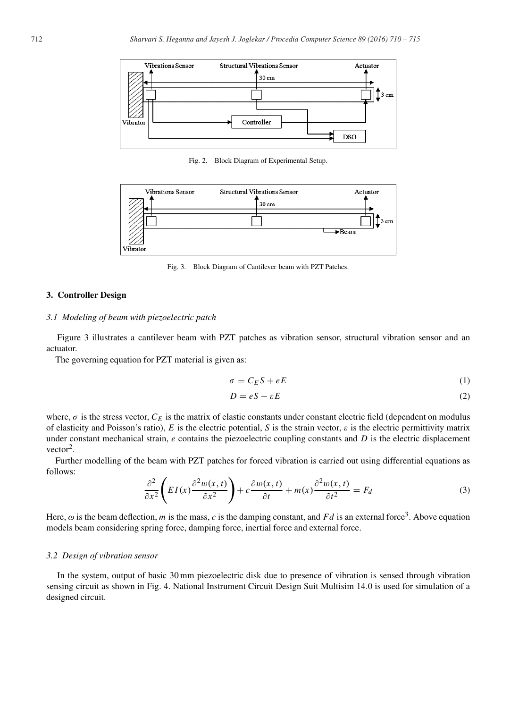

Fig. 2. Block Diagram of Experimental Setup.



Fig. 3. Block Diagram of Cantilever beam with PZT Patches.

# **3. Controller Design**

#### *3.1 Modeling of beam with piezoelectric patch*

Figure 3 illustrates a cantilever beam with PZT patches as vibration sensor, structural vibration sensor and an actuator.

The governing equation for PZT material is given as:

$$
\sigma = C_E S + eE \tag{1}
$$

$$
D = eS - \varepsilon E \tag{2}
$$

where,  $\sigma$  is the stress vector,  $C_E$  is the matrix of elastic constants under constant electric field (dependent on modulus of elasticity and Poisson's ratio),  $E$  is the electric potential,  $S$  is the strain vector,  $\varepsilon$  is the electric permittivity matrix under constant mechanical strain, *e* contains the piezoelectric coupling constants and *D* is the electric displacement  $vector<sup>2</sup>$ .

Further modelling of the beam with PZT patches for forced vibration is carried out using differential equations as follows:

$$
\frac{\partial^2}{\partial x^2} \left( EI(x) \frac{\partial^2 w(x,t)}{\partial x^2} \right) + c \frac{\partial w(x,t)}{\partial t} + m(x) \frac{\partial^2 w(x,t)}{\partial t^2} = F_d
$$
\n(3)

Here,  $\omega$  is the beam deflection, m is the mass, c is the damping constant, and Fd is an external force<sup>3</sup>. Above equation models beam considering spring force, damping force, inertial force and external force.

#### *3.2 Design of vibration sensor*

In the system, output of basic 30 mm piezoelectric disk due to presence of vibration is sensed through vibration sensing circuit as shown in Fig. 4. National Instrument Circuit Design Suit Multisim 14.0 is used for simulation of a designed circuit.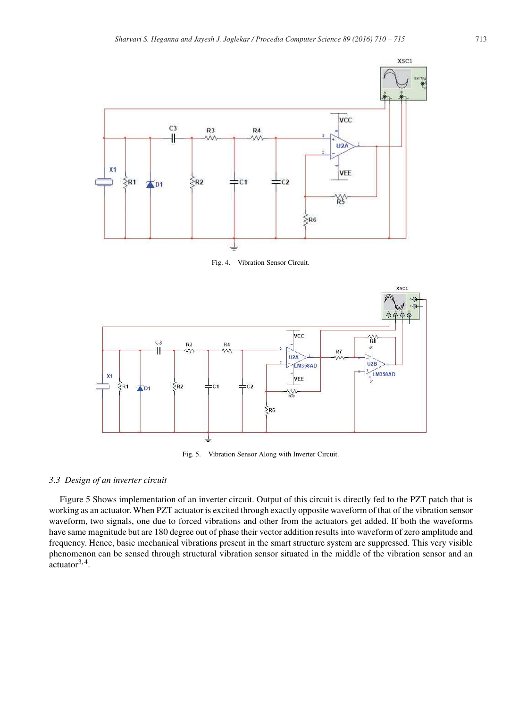

Fig. 4. Vibration Sensor Circuit.



Fig. 5. Vibration Sensor Along with Inverter Circuit.

# *3.3 Design of an inverter circuit*

Figure 5 Shows implementation of an inverter circuit. Output of this circuit is directly fed to the PZT patch that is working as an actuator. When PZT actuator is excited through exactly opposite waveform of that of the vibration sensor waveform, two signals, one due to forced vibrations and other from the actuators get added. If both the waveforms have same magnitude but are 180 degree out of phase their vector addition results into waveform of zero amplitude and frequency. Hence, basic mechanical vibrations present in the smart structure system are suppressed. This very visible phenomenon can be sensed through structural vibration sensor situated in the middle of the vibration sensor and an  $\arct{uator}^{3,4}$ .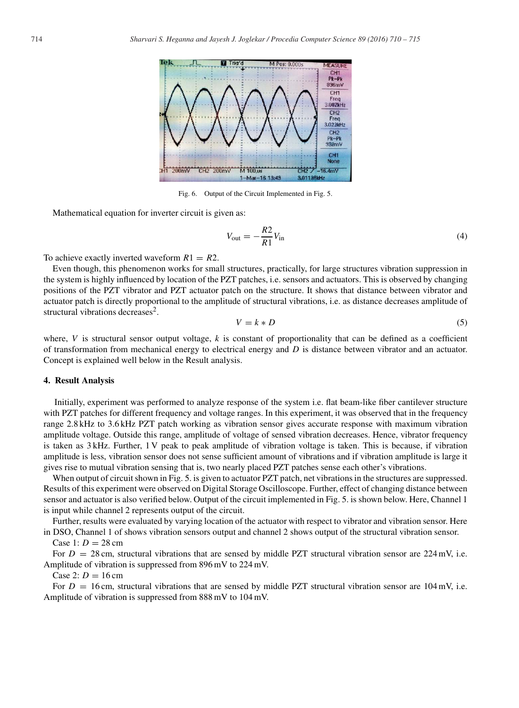

Fig. 6. Output of the Circuit Implemented in Fig. 5.

Mathematical equation for inverter circuit is given as:

$$
V_{\text{out}} = -\frac{R2}{R1}V_{\text{in}}\tag{4}
$$

To achieve exactly inverted waveform  $R1 = R2$ .

Even though, this phenomenon works for small structures, practically, for large structures vibration suppression in the system is highly influenced by location of the PZT patches, i.e. sensors and actuators. This is observed by changing positions of the PZT vibrator and PZT actuator patch on the structure. It shows that distance between vibrator and actuator patch is directly proportional to the amplitude of structural vibrations, i.e. as distance decreases amplitude of structural vibrations decreases<sup>2</sup>.

$$
V = k * D \tag{5}
$$

where,  $V$  is structural sensor output voltage,  $k$  is constant of proportionality that can be defined as a coefficient of transformation from mechanical energy to electrical energy and *D* is distance between vibrator and an actuator. Concept is explained well below in the Result analysis.

## **4. Result Analysis**

Initially, experiment was performed to analyze response of the system i.e. flat beam-like fiber cantilever structure with PZT patches for different frequency and voltage ranges. In this experiment, it was observed that in the frequency range 2.8 kHz to 3.6 kHz PZT patch working as vibration sensor gives accurate response with maximum vibration amplitude voltage. Outside this range, amplitude of voltage of sensed vibration decreases. Hence, vibrator frequency is taken as 3 kHz. Further, 1 V peak to peak amplitude of vibration voltage is taken. This is because, if vibration amplitude is less, vibration sensor does not sense sufficient amount of vibrations and if vibration amplitude is large it gives rise to mutual vibration sensing that is, two nearly placed PZT patches sense each other's vibrations.

When output of circuit shown in Fig. 5. is given to actuator PZT patch, net vibrations in the structures are suppressed. Results of this experiment were observed on Digital Storage Oscilloscope. Further, effect of changing distance between sensor and actuator is also verified below. Output of the circuit implemented in Fig. 5. is shown below. Here, Channel 1 is input while channel 2 represents output of the circuit.

Further, results were evaluated by varying location of the actuator with respect to vibrator and vibration sensor. Here in DSO, Channel 1 of shows vibration sensors output and channel 2 shows output of the structural vibration sensor.

# Case 1:  $D = 28$  cm

For  $D = 28$  cm, structural vibrations that are sensed by middle PZT structural vibration sensor are  $224$  mV, i.e. Amplitude of vibration is suppressed from 896 mV to 224 mV.

Case 2:  $D = 16$  cm

For  $D = 16$  cm, structural vibrations that are sensed by middle PZT structural vibration sensor are  $104$  mV, i.e. Amplitude of vibration is suppressed from 888 mV to 104 mV.